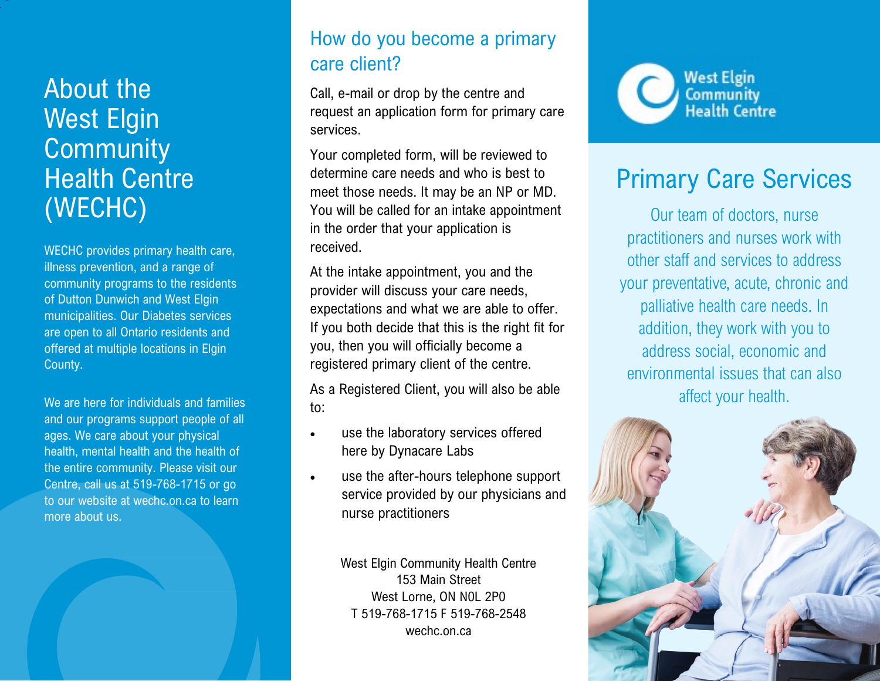# About the West Elgin **Community** Health Centre (WECHC)

WECHC provides primary health care, illness prevention, and a range of community programs to the residents of Dutton Dunwich and West Elgin municipalities. Our Diabetes services are open to all Ontario residents and offered at multiple locations in Elgin County.

We are here for individuals and families and our programs support people of all ages. We care about your physical health, mental health and the health of the entire community. Please visit our Centre, call us at 519-768-1715 or go to our website at wechc.on.ca to learn more about us.

### How do you become a primary care client?

Call, e-mail or drop by the centre and request an application form for primary care services.

Your completed form, will be reviewed to determine care needs and who is best to meet those needs. It may be an NP or MD. You will be called for an intake appointment in the order that your application is received.

At the intake appointment, you and the provider will discuss your care needs, expectations and what we are able to offer. If you both decide that this is the right fit for you, then you will officially become a registered primary client of the centre.

As a Registered Client, you will also be able to:

- use the laboratory services offered here by Dynacare Labs
- use the after-hours telephone support service provided by our physicians and nurse practitioners

West Elgin Community Health Centre 153 Main Street West Lorne, ON N0L 2P0 T 519-768-1715 F 519-768-2548 wechc.on.ca



# Primary Care Services

Our team of doctors, nurse practitioners and nurses work with other staff and services to address your preventative, acute, chronic and palliative health care needs. In addition, they work with you to address social, economic and environmental issues that can also affect your health.